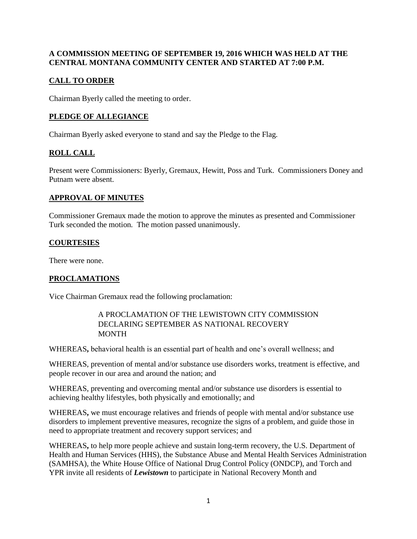# **A COMMISSION MEETING OF SEPTEMBER 19, 2016 WHICH WAS HELD AT THE CENTRAL MONTANA COMMUNITY CENTER AND STARTED AT 7:00 P.M.**

# **CALL TO ORDER**

Chairman Byerly called the meeting to order.

### **PLEDGE OF ALLEGIANCE**

Chairman Byerly asked everyone to stand and say the Pledge to the Flag.

# **ROLL CALL**

Present were Commissioners: Byerly, Gremaux, Hewitt, Poss and Turk. Commissioners Doney and Putnam were absent.

#### **APPROVAL OF MINUTES**

Commissioner Gremaux made the motion to approve the minutes as presented and Commissioner Turk seconded the motion. The motion passed unanimously.

## **COURTESIES**

There were none.

#### **PROCLAMATIONS**

Vice Chairman Gremaux read the following proclamation:

#### A PROCLAMATION OF THE LEWISTOWN CITY COMMISSION DECLARING SEPTEMBER AS NATIONAL RECOVERY MONTH

WHEREAS**,** behavioral health is an essential part of health and one's overall wellness; and

WHEREAS, prevention of mental and/or substance use disorders works, treatment is effective, and people recover in our area and around the nation; and

WHEREAS, preventing and overcoming mental and/or substance use disorders is essential to achieving healthy lifestyles, both physically and emotionally; and

WHEREAS**,** we must encourage relatives and friends of people with mental and/or substance use disorders to implement preventive measures, recognize the signs of a problem, and guide those in need to appropriate treatment and recovery support services; and

WHEREAS**,** to help more people achieve and sustain long-term recovery, the U.S. Department of Health and Human Services (HHS), the Substance Abuse and Mental Health Services Administration (SAMHSA), the White House Office of National Drug Control Policy (ONDCP), and Torch and YPR invite all residents of *Lewistown* to participate in National Recovery Month and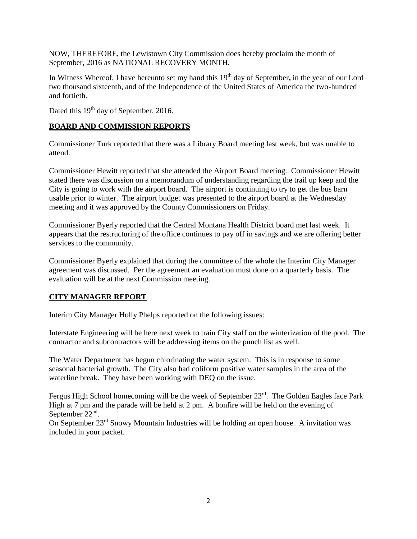NOW, THEREFORE, the Lewistown City Commission does hereby proclaim the month of September, 2016 as NATIONAL RECOVERY MONTH*.* 

In Witness Whereof, I have hereunto set my hand this 19<sup>th</sup> day of September, in the year of our Lord two thousand sixteenth, and of the Independence of the United States of America the two-hundred and fortieth.

Dated this 19<sup>th</sup> day of September, 2016.

### **BOARD AND COMMISSION REPORTS**

Commissioner Turk reported that there was a Library Board meeting last week, but was unable to attend.

Commissioner Hewitt reported that she attended the Airport Board meeting. Commissioner Hewitt stated there was discussion on a memorandum of understanding regarding the trail up keep and the City is going to work with the airport board. The airport is continuing to try to get the bus barn usable prior to winter. The airport budget was presented to the airport board at the Wednesday meeting and it was approved by the County Commissioners on Friday.

Commissioner Byerly reported that the Central Montana Health District board met last week. It appears that the restructuring of the office continues to pay off in savings and we are offering better services to the community.

Commissioner Byerly explained that during the committee of the whole the Interim City Manager agreement was discussed. Per the agreement an evaluation must done on a quarterly basis. The evaluation will be at the next Commission meeting.

#### **CITY MANAGER REPORT**

Interim City Manager Holly Phelps reported on the following issues:

Interstate Engineering will be here next week to train City staff on the winterization of the pool. The contractor and subcontractors will be addressing items on the punch list as well.

The Water Department has begun chlorinating the water system. This is in response to some seasonal bacterial growth. The City also had coliform positive water samples in the area of the waterline break. They have been working with DEQ on the issue.

Fergus High School homecoming will be the week of September 23<sup>rd</sup>. The Golden Eagles face Park High at 7 pm and the parade will be held at 2 pm. A bonfire will be held on the evening of September 22<sup>nd</sup>.

On September 23rd Snowy Mountain Industries will be holding an open house. A invitation was included in your packet.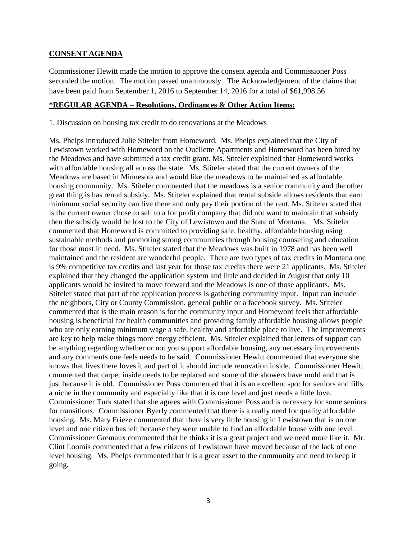#### **CONSENT AGENDA**

Commissioner Hewitt made the motion to approve the consent agenda and Commissioner Poss seconded the motion. The motion passed unanimously. The Acknowledgement of the claims that have been paid from September 1, 2016 to September 14, 2016 for a total of \$61,998.56

#### **\*REGULAR AGENDA – Resolutions, Ordinances & Other Action Items:**

1. Discussion on housing tax credit to do renovations at the Meadows

Ms. Phelps introduced Julie Stiteler from Homeword. Ms. Phelps explained that the City of Lewistown worked with Homeword on the Ouellette Apartments and Homeword has been hired by the Meadows and have submitted a tax credit grant. Ms. Stiteler explained that Homeword works with affordable housing all across the state. Ms. Stiteler stated that the current owners of the Meadows are based in Minnesota and would like the meadows to be maintained as affordable housing community. Ms. Stiteler commented that the meadows is a senior community and the other great thing is has rental subsidy. Ms. Stiteler explained that rental subside allows residents that earn minimum social security can live there and only pay their portion of the rent. Ms. Stiteler stated that is the current owner chose to sell to a for profit company that did not want to maintain that subsidy then the subsidy would be lost to the City of Lewistown and the State of Montana. Ms. Stiteler commented that Homeword is committed to providing safe, healthy, affordable housing using sustainable methods and promoting strong communities through housing counseling and education for those most in need. Ms. Stiteler stated that the Meadows was built in 1978 and has been well maintained and the resident are wonderful people. There are two types of tax credits in Montana one is 9% competitive tax credits and last year for those tax credits there were 21 applicants. Ms. Stiteler explained that they changed the application system and little and decided in August that only 10 applicants would be invited to move forward and the Meadows is one of those applicants. Ms. Stiteler stated that part of the application process is gathering community input. Input can include the neighbors, City or County Commission, general public or a facebook survey. Ms. Stiteler commented that is the main reason is for the community input and Homeword feels that affordable housing is beneficial for health communities and providing family affordable housing allows people who are only earning minimum wage a safe, healthy and affordable place to live. The improvements are key to help make things more energy efficient. Ms. Stiteler explained that letters of support can be anything regarding whether or not you support affordable housing, any necessary improvements and any comments one feels needs to be said. Commissioner Hewitt commented that everyone she knows that lives there loves it and part of it should include renovation inside. Commissioner Hewitt commented that carpet inside needs to be replaced and some of the showers have mold and that is just because it is old. Commissioner Poss commented that it is an excellent spot for seniors and fills a niche in the community and especially like that it is one level and just needs a little love. Commissioner Turk stated that she agrees with Commissioner Poss and is necessary for some seniors for transitions. Commissioner Byerly commented that there is a really need for quality affordable housing. Ms. Mary Frieze commented that there is very little housing in Lewistown that is on one level and one citizen has left because they were unable to find an affordable house with one level. Commissioner Gremaux commented that he thinks it is a great project and we need more like it. Mr. Clint Loomis commented that a few citizens of Lewistown have moved because of the lack of one level housing. Ms. Phelps commented that it is a great asset to the community and need to keep it going.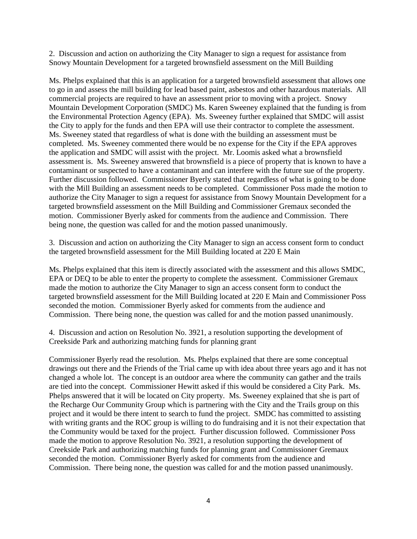2. Discussion and action on authorizing the City Manager to sign a request for assistance from Snowy Mountain Development for a targeted brownsfield assessment on the Mill Building

Ms. Phelps explained that this is an application for a targeted brownsfield assessment that allows one to go in and assess the mill building for lead based paint, asbestos and other hazardous materials. All commercial projects are required to have an assessment prior to moving with a project. Snowy Mountain Development Corporation (SMDC) Ms. Karen Sweeney explained that the funding is from the Environmental Protection Agency (EPA). Ms. Sweeney further explained that SMDC will assist the City to apply for the funds and then EPA will use their contractor to complete the assessment. Ms. Sweeney stated that regardless of what is done with the building an assessment must be completed. Ms. Sweeney commented there would be no expense for the City if the EPA approves the application and SMDC will assist with the project. Mr. Loomis asked what a brownsfield assessment is. Ms. Sweeney answered that brownsfield is a piece of property that is known to have a contaminant or suspected to have a contaminant and can interfere with the future sue of the property. Further discussion followed. Commissioner Byerly stated that regardless of what is going to be done with the Mill Building an assessment needs to be completed. Commissioner Poss made the motion to authorize the City Manager to sign a request for assistance from Snowy Mountain Development for a targeted brownsfield assessment on the Mill Building and Commissioner Gremaux seconded the motion. Commissioner Byerly asked for comments from the audience and Commission. There being none, the question was called for and the motion passed unanimously.

3. Discussion and action on authorizing the City Manager to sign an access consent form to conduct the targeted brownsfield assessment for the Mill Building located at 220 E Main

Ms. Phelps explained that this item is directly associated with the assessment and this allows SMDC, EPA or DEQ to be able to enter the property to complete the assessment. Commissioner Gremaux made the motion to authorize the City Manager to sign an access consent form to conduct the targeted brownsfield assessment for the Mill Building located at 220 E Main and Commissioner Poss seconded the motion. Commissioner Byerly asked for comments from the audience and Commission. There being none, the question was called for and the motion passed unanimously.

4. Discussion and action on Resolution No. 3921, a resolution supporting the development of Creekside Park and authorizing matching funds for planning grant

Commissioner Byerly read the resolution. Ms. Phelps explained that there are some conceptual drawings out there and the Friends of the Trial came up with idea about three years ago and it has not changed a whole lot. The concept is an outdoor area where the community can gather and the trails are tied into the concept. Commissioner Hewitt asked if this would be considered a City Park. Ms. Phelps answered that it will be located on City property. Ms. Sweeney explained that she is part of the Recharge Our Community Group which is partnering with the City and the Trails group on this project and it would be there intent to search to fund the project. SMDC has committed to assisting with writing grants and the ROC group is willing to do fundraising and it is not their expectation that the Community would be taxed for the project. Further discussion followed. Commissioner Poss made the motion to approve Resolution No. 3921, a resolution supporting the development of Creekside Park and authorizing matching funds for planning grant and Commissioner Gremaux seconded the motion. Commissioner Byerly asked for comments from the audience and Commission. There being none, the question was called for and the motion passed unanimously.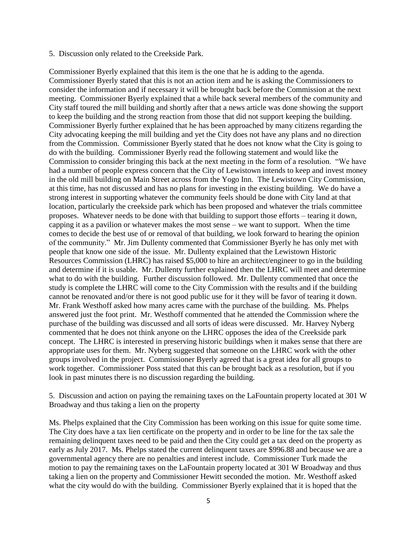#### 5. Discussion only related to the Creekside Park.

Commissioner Byerly explained that this item is the one that he is adding to the agenda. Commissioner Byerly stated that this is not an action item and he is asking the Commissioners to consider the information and if necessary it will be brought back before the Commission at the next meeting. Commissioner Byerly explained that a while back several members of the community and City staff toured the mill building and shortly after that a news article was done showing the support to keep the building and the strong reaction from those that did not support keeping the building. Commissioner Byerly further explained that he has been approached by many citizens regarding the City advocating keeping the mill building and yet the City does not have any plans and no direction from the Commission. Commissioner Byerly stated that he does not know what the City is going to do with the building. Commissioner Byerly read the following statement and would like the Commission to consider bringing this back at the next meeting in the form of a resolution. "We have had a number of people express concern that the City of Lewistown intends to keep and invest money in the old mill building on Main Street across from the Yogo Inn. The Lewistown City Commission, at this time, has not discussed and has no plans for investing in the existing building. We do have a strong interest in supporting whatever the community feels should be done with City land at that location, particularly the creekside park which has been proposed and whatever the trials committee proposes. Whatever needs to be done with that building to support those efforts – tearing it down, capping it as a pavilion or whatever makes the most sense  $-\overline{w}$  want to support. When the time comes to decide the best use of or removal of that building, we look forward to hearing the opinion of the community." Mr. Jim Dullenty commented that Commissioner Byerly he has only met with people that know one side of the issue. Mr. Dullenty explained that the Lewistown Historic Resources Commission (LHRC) has raised \$5,000 to hire an architect/engineer to go in the building and determine if it is usable. Mr. Dullenty further explained then the LHRC will meet and determine what to do with the building. Further discussion followed. Mr. Dullenty commented that once the study is complete the LHRC will come to the City Commission with the results and if the building cannot be renovated and/or there is not good public use for it they will be favor of tearing it down. Mr. Frank Westhoff asked how many acres came with the purchase of the building. Ms. Phelps answered just the foot print. Mr. Westhoff commented that he attended the Commission where the purchase of the building was discussed and all sorts of ideas were discussed. Mr. Harvey Nyberg commented that he does not think anyone on the LHRC opposes the idea of the Creekside park concept. The LHRC is interested in preserving historic buildings when it makes sense that there are appropriate uses for them. Mr. Nyberg suggested that someone on the LHRC work with the other groups involved in the project. Commissioner Byerly agreed that is a great idea for all groups to work together. Commissioner Poss stated that this can be brought back as a resolution, but if you look in past minutes there is no discussion regarding the building.

5. Discussion and action on paying the remaining taxes on the LaFountain property located at 301 W Broadway and thus taking a lien on the property

Ms. Phelps explained that the City Commission has been working on this issue for quite some time. The City does have a tax lien certificate on the property and in order to be line for the tax sale the remaining delinquent taxes need to be paid and then the City could get a tax deed on the property as early as July 2017. Ms. Phelps stated the current delinquent taxes are \$996.88 and because we are a governmental agency there are no penalties and interest include. Commissioner Turk made the motion to pay the remaining taxes on the LaFountain property located at 301 W Broadway and thus taking a lien on the property and Commissioner Hewitt seconded the motion. Mr. Westhoff asked what the city would do with the building. Commissioner Byerly explained that it is hoped that the